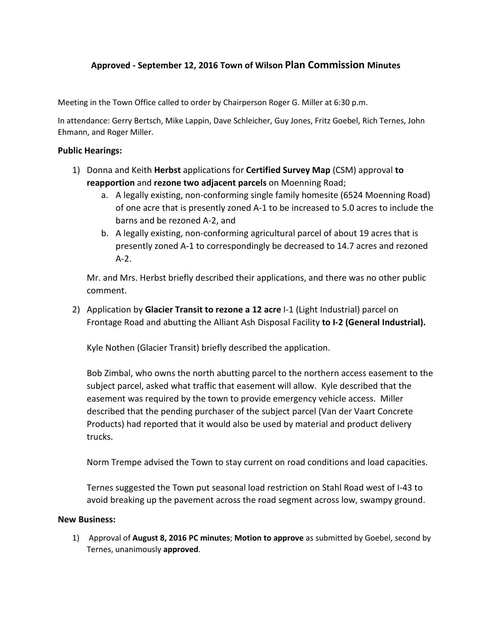# **Approved - September 12, 2016 Town of Wilson Plan Commission Minutes**

Meeting in the Town Office called to order by Chairperson Roger G. Miller at 6:30 p.m.

In attendance: Gerry Bertsch, Mike Lappin, Dave Schleicher, Guy Jones, Fritz Goebel, Rich Ternes, John Ehmann, and Roger Miller.

## **Public Hearings:**

- 1) Donna and Keith **Herbst** applications for **Certified Survey Map** (CSM) approval **to reapportion** and **rezone two adjacent parcels** on Moenning Road;
	- a. A legally existing, non-conforming single family homesite (6524 Moenning Road) of one acre that is presently zoned A-1 to be increased to 5.0 acres to include the barns and be rezoned A-2, and
	- b. A legally existing, non-conforming agricultural parcel of about 19 acres that is presently zoned A-1 to correspondingly be decreased to 14.7 acres and rezoned A-2.

Mr. and Mrs. Herbst briefly described their applications, and there was no other public comment.

2) Application by **Glacier Transit to rezone a 12 acre** I-1 (Light Industrial) parcel on Frontage Road and abutting the Alliant Ash Disposal Facility **to I-2 (General Industrial).**

Kyle Nothen (Glacier Transit) briefly described the application.

Bob Zimbal, who owns the north abutting parcel to the northern access easement to the subject parcel, asked what traffic that easement will allow. Kyle described that the easement was required by the town to provide emergency vehicle access. Miller described that the pending purchaser of the subject parcel (Van der Vaart Concrete Products) had reported that it would also be used by material and product delivery trucks.

Norm Trempe advised the Town to stay current on road conditions and load capacities.

Ternes suggested the Town put seasonal load restriction on Stahl Road west of I-43 to avoid breaking up the pavement across the road segment across low, swampy ground.

### **New Business:**

1) Approval of **August 8, 2016 PC minutes**; **Motion to approve** as submitted by Goebel, second by Ternes, unanimously **approved**.